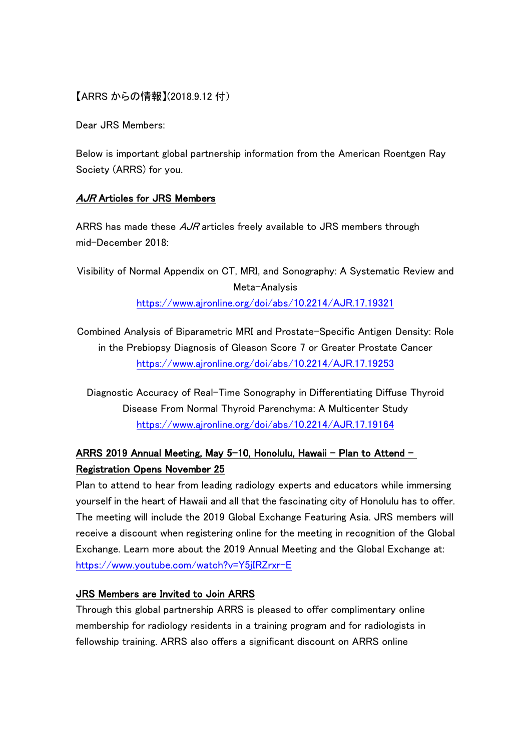## 【ARRS からの情報】(2018.9.12 付)

Dear JRS Members:

Below is important global partnership information from the American Roentgen Ray Society (ARRS) for you.

## AJR Articles for JRS Members

ARRS has made these  $A$ *JR* articles freely available to JRS members through mid-December 2018:

Visibility of Normal Appendix on CT, MRI, and Sonography: A Systematic Review and Meta-Analysis <https://www.ajronline.org/doi/abs/10.2214/AJR.17.19321>

Combined Analysis of Biparametric MRI and Prostate-Specific Antigen Density: Role in the Prebiopsy Diagnosis of Gleason Score 7 or Greater Prostate Cancer <https://www.ajronline.org/doi/abs/10.2214/AJR.17.19253>

Diagnostic Accuracy of Real-Time Sonography in Differentiating Diffuse Thyroid Disease From Normal Thyroid Parenchyma: A Multicenter Study <https://www.ajronline.org/doi/abs/10.2214/AJR.17.19164>

## ARRS 2019 Annual Meeting, May 5-10, Honolulu, Hawaii – Plan to Attend – Registration Opens November 25

Plan to attend to hear from leading radiology experts and educators while immersing yourself in the heart of Hawaii and all that the fascinating city of Honolulu has to offer. The meeting will include the 2019 Global Exchange Featuring Asia. JRS members will receive a discount when registering online for the meeting in recognition of the Global Exchange. Learn more about the 2019 Annual Meeting and the Global Exchange at: <https://www.youtube.com/watch?v=Y5jIRZrxr-E>

## JRS Members are Invited to Join ARRS

Through this global partnership ARRS is pleased to offer complimentary online membership for radiology residents in a training program and for radiologists in fellowship training. ARRS also offers a significant discount on ARRS online